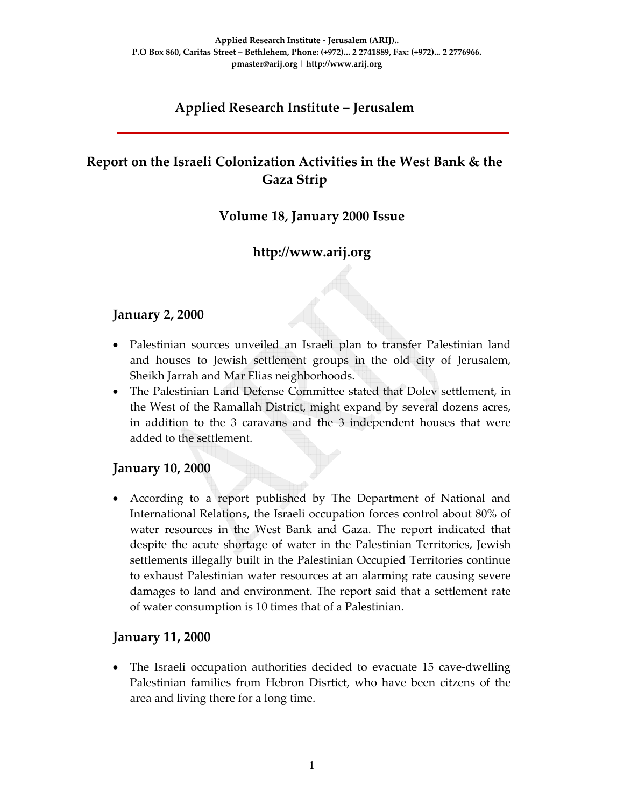# **Applied Research Institute – Jerusalem**

# **Report on the Israeli Colonization Activities in the West Bank & the Gaza Strip**

## **Volume 18, January 2000 Issue**

## **http://www.arij.org**

## **January 2, 2000**

- Palestinian sources unveiled an Israeli plan to transfer Palestinian land and houses to Jewish settlement groups in the old city of Jerusalem, Sheikh Jarrah and Mar Elias neighborhoods.
- The Palestinian Land Defense Committee stated that Dolev settlement, in the West of the Ramallah District, might expand by several dozens acres, in addition to the 3 caravans and the 3 independent houses that were added to the settlement.

## **January 10, 2000**

• According to a report published by The Department of National and International Relations, the Israeli occupation forces control about 80% of water resources in the West Bank and Gaza. The report indicated that despite the acute shortage of water in the Palestinian Territories, Jewish settlements illegally built in the Palestinian Occupied Territories continue to exhaust Palestinian water resources at an alarming rate causing severe damages to land and environment. The report said that a settlement rate of water consumption is 10 times that of a Palestinian.

## **January 11, 2000**

• The Israeli occupation authorities decided to evacuate 15 cave-dwelling Palestinian families from Hebron Disrtict, who have been citzens of the area and living there for a long time.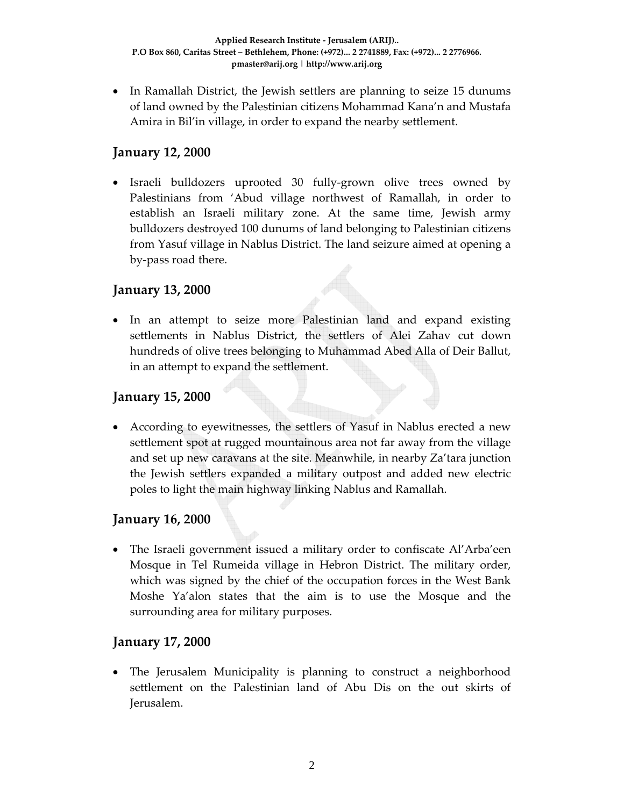• In Ramallah District, the Jewish settlers are planning to seize 15 dunums of land owned by the Palestinian citizens Mohammad Kana'n and Mustafa Amira in Bil'in village, in order to expand the nearby settlement.

## **January 12, 2000**

• Israeli bulldozers uprooted 30 fully‐grown olive trees owned by Palestinians from 'Abud village northwest of Ramallah, in order to establish an Israeli military zone. At the same time, Jewish army bulldozers destroyed 100 dunums of land belonging to Palestinian citizens from Yasuf village in Nablus District. The land seizure aimed at opening a by‐pass road there.

## **January 13, 2000**

• In an attempt to seize more Palestinian land and expand existing settlements in Nablus District, the settlers of Alei Zahav cut down hundreds of olive trees belonging to Muhammad Abed Alla of Deir Ballut, in an attempt to expand the settlement.

## **January 15, 2000**

• According to eyewitnesses, the settlers of Yasuf in Nablus erected a new settlement spot at rugged mountainous area not far away from the village and set up new caravans at the site. Meanwhile, in nearby Za'tara junction the Jewish settlers expanded a military outpost and added new electric poles to light the main highway linking Nablus and Ramallah.

## **January 16, 2000**

• The Israeli government issued a military order to confiscate Al'Arba'een Mosque in Tel Rumeida village in Hebron District. The military order, which was signed by the chief of the occupation forces in the West Bank Moshe Ya'alon states that the aim is to use the Mosque and the surrounding area for military purposes.

## **January 17, 2000**

• The Jerusalem Municipality is planning to construct a neighborhood settlement on the Palestinian land of Abu Dis on the out skirts of Jerusalem.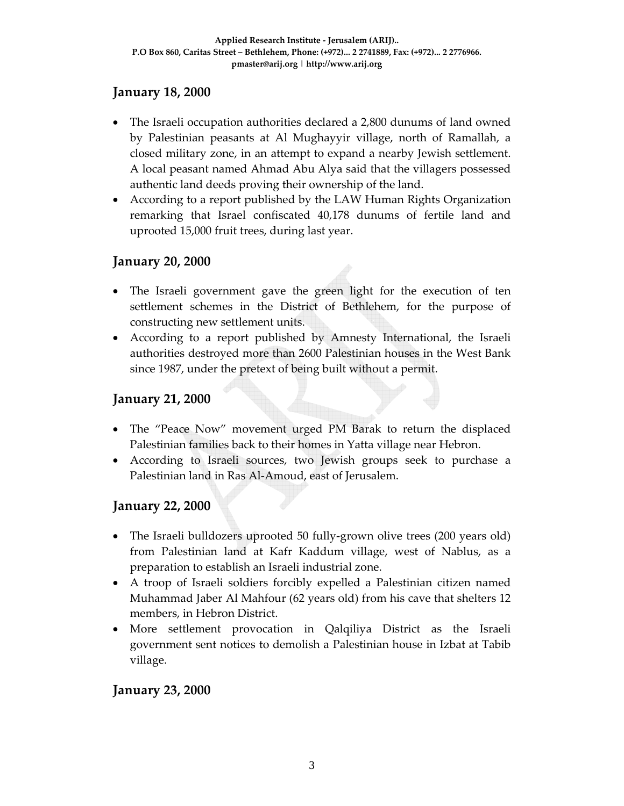## **January 18, 2000**

- The Israeli occupation authorities declared a 2,800 dunums of land owned by Palestinian peasants at Al Mughayyir village, north of Ramallah, a closed military zone, in an attempt to expand a nearby Jewish settlement. A local peasant named Ahmad Abu Alya said that the villagers possessed authentic land deeds proving their ownership of the land.
- According to a report published by the LAW Human Rights Organization remarking that Israel confiscated 40,178 dunums of fertile land and uprooted 15,000 fruit trees, during last year.

## **January 20, 2000**

- The Israeli government gave the green light for the execution of ten settlement schemes in the District of Bethlehem, for the purpose of constructing new settlement units.
- According to a report published by Amnesty International, the Israeli authorities destroyed more than 2600 Palestinian houses in the West Bank since 1987, under the pretext of being built without a permit.

## **January 21, 2000**

- The "Peace Now" movement urged PM Barak to return the displaced Palestinian families back to their homes in Yatta village near Hebron.
- According to Israeli sources, two Jewish groups seek to purchase a Palestinian land in Ras Al‐Amoud, east of Jerusalem.

## **January 22, 2000**

- The Israeli bulldozers uprooted 50 fully-grown olive trees (200 years old) from Palestinian land at Kafr Kaddum village, west of Nablus, as a preparation to establish an Israeli industrial zone.
- A troop of Israeli soldiers forcibly expelled a Palestinian citizen named Muhammad Jaber Al Mahfour (62 years old) from his cave that shelters 12 members, in Hebron District.
- More settlement provocation in Qalqiliya District as the Israeli government sent notices to demolish a Palestinian house in Izbat at Tabib village.

## **January 23, 2000**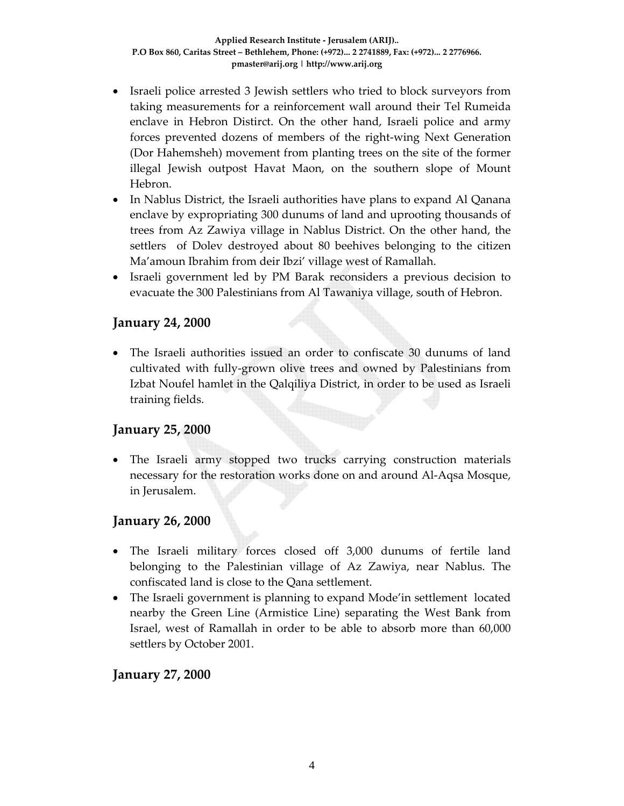- Israeli police arrested 3 Jewish settlers who tried to block surveyors from taking measurements for a reinforcement wall around their Tel Rumeida enclave in Hebron Distirct. On the other hand, Israeli police and army forces prevented dozens of members of the right‐wing Next Generation (Dor Hahemsheh) movement from planting trees on the site of the former illegal Jewish outpost Havat Maon, on the southern slope of Mount Hebron.
- In Nablus District, the Israeli authorities have plans to expand Al Qanana enclave by expropriating 300 dunums of land and uprooting thousands of trees from Az Zawiya village in Nablus District. On the other hand, the settlers of Dolev destroyed about 80 beehives belonging to the citizen Ma'amoun Ibrahim from deir Ibzi' village west of Ramallah.
- Israeli government led by PM Barak reconsiders a previous decision to evacuate the 300 Palestinians from Al Tawaniya village, south of Hebron.

## **January 24, 2000**

• The Israeli authorities issued an order to confiscate 30 dunums of land cultivated with fully‐grown olive trees and owned by Palestinians from Izbat Noufel hamlet in the Qalqiliya District, in order to be used as Israeli training fields.

## **January 25, 2000**

• The Israeli army stopped two trucks carrying construction materials necessary for the restoration works done on and around Al‐Aqsa Mosque, in Jerusalem.

## **January 26, 2000**

- The Israeli military forces closed off 3,000 dunums of fertile land belonging to the Palestinian village of Az Zawiya, near Nablus. The confiscated land is close to the Qana settlement.
- The Israeli government is planning to expand Mode'in settlement located nearby the Green Line (Armistice Line) separating the West Bank from Israel, west of Ramallah in order to be able to absorb more than 60,000 settlers by October 2001.

## **January 27, 2000**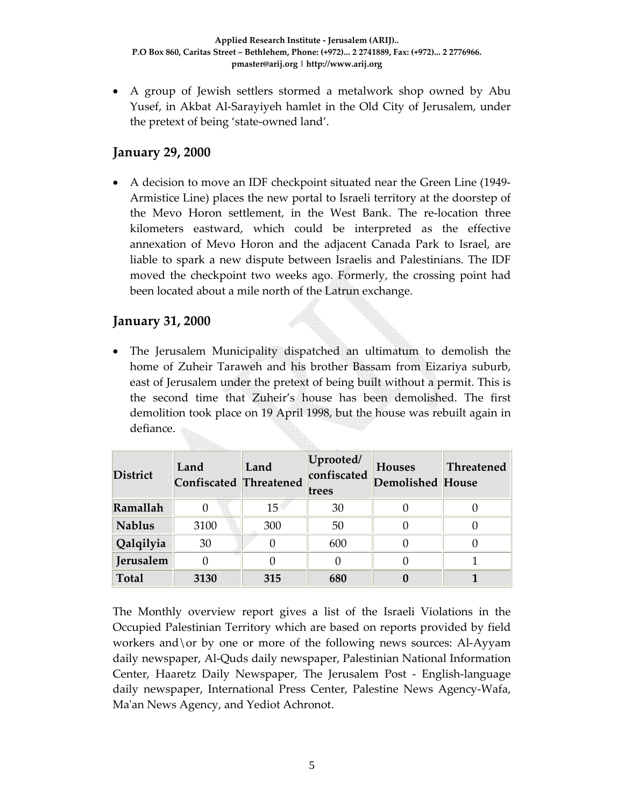• A group of Jewish settlers stormed a metalwork shop owned by Abu Yusef, in Akbat Al‐Sarayiyeh hamlet in the Old City of Jerusalem, under the pretext of being 'state‐owned land'.

## **January 29, 2000**

• A decision to move an IDF checkpoint situated near the Green Line (1949‐ Armistice Line) places the new portal to Israeli territory at the doorstep of the Mevo Horon settlement, in the West Bank. The re‐location three kilometers eastward, which could be interpreted as the effective annexation of Mevo Horon and the adjacent Canada Park to Israel, are liable to spark a new dispute between Israelis and Palestinians. The IDF moved the checkpoint two weeks ago. Formerly, the crossing point had been located about a mile north of the Latrun exchange.

## **January 31, 2000**

• The Jerusalem Municipality dispatched an ultimatum to demolish the home of Zuheir Taraweh and his brother Bassam from Eizariya suburb, east of Jerusalem under the pretext of being built without a permit. This is the second time that Zuheir's house has been demolished. The first demolition took place on 19 April 1998, but the house was rebuilt again in defiance.

| <b>District</b> | Land<br><b>Confiscated Threatened</b> | Land | Uprooted/<br>confiscated<br>trees | <b>Houses</b><br><b>Demolished House</b> | Threatened |
|-----------------|---------------------------------------|------|-----------------------------------|------------------------------------------|------------|
| Ramallah        |                                       | 15   | 30                                |                                          |            |
| <b>Nablus</b>   | 3100                                  | 300  | 50                                |                                          |            |
| Qalqilyia       | 30                                    |      | 600                               |                                          |            |
| Jerusalem       |                                       |      |                                   |                                          |            |
| <b>Total</b>    | 3130                                  | 315  | 680                               |                                          |            |

The Monthly overview report gives a list of the Israeli Violations in the Occupied Palestinian Territory which are based on reports provided by field workers and\or by one or more of the following news sources: Al‐Ayyam daily newspaper, Al‐Quds daily newspaper, Palestinian National Information Center, Haaretz Daily Newspaper, The Jerusalem Post ‐ English‐language daily newspaper, International Press Center, Palestine News Agency‐Wafa, Ma'an News Agency, and Yediot Achronot.